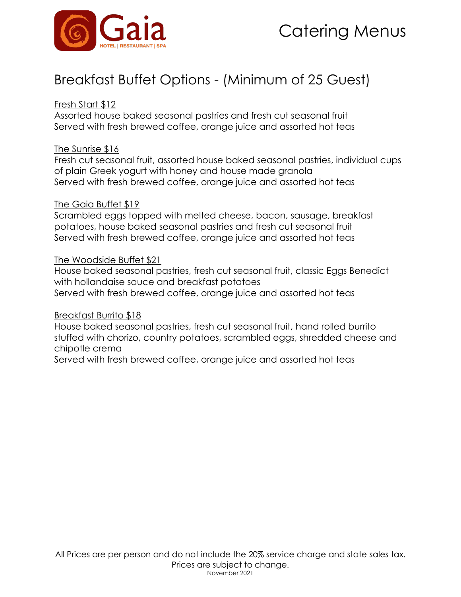

## Breakfast Buffet Options - (Minimum of 25 Guest)

#### Fresh Start \$12

Assorted house baked seasonal pastries and fresh cut seasonal fruit Served with fresh brewed coffee, orange juice and assorted hot teas

#### The Sunrise \$16

Fresh cut seasonal fruit, assorted house baked seasonal pastries, individual cups of plain Greek yogurt with honey and house made granola Served with fresh brewed coffee, orange juice and assorted hot teas

#### The Gaia Buffet \$19

Scrambled eggs topped with melted cheese, bacon, sausage, breakfast potatoes, house baked seasonal pastries and fresh cut seasonal fruit Served with fresh brewed coffee, orange juice and assorted hot teas

#### The Woodside Buffet \$21

House baked seasonal pastries, fresh cut seasonal fruit, classic Eggs Benedict with hollandaise sauce and breakfast potatoes Served with fresh brewed coffee, orange juice and assorted hot teas

#### Breakfast Burrito \$18

House baked seasonal pastries, fresh cut seasonal fruit, hand rolled burrito stuffed with chorizo, country potatoes, scrambled eggs, shredded cheese and chipotle crema

Served with fresh brewed coffee, orange juice and assorted hot teas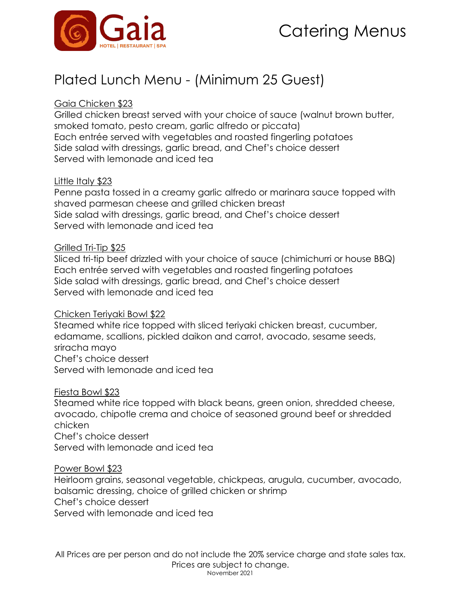

## Plated Lunch Menu - (Minimum 25 Guest)

#### Gaia Chicken \$23

Grilled chicken breast served with your choice of sauce (walnut brown butter, smoked tomato, pesto cream, garlic alfredo or piccata) Each entrée served with vegetables and roasted fingerling potatoes Side salad with dressings, garlic bread, and Chef's choice dessert Served with lemonade and iced tea

#### Little Italy \$23

Penne pasta tossed in a creamy garlic alfredo or marinara sauce topped with shaved parmesan cheese and grilled chicken breast Side salad with dressings, garlic bread, and Chef's choice dessert Served with lemonade and iced tea

#### Grilled Tri-Tip \$25

Sliced tri-tip beef drizzled with your choice of sauce (chimichurri or house BBQ) Each entrée served with vegetables and roasted fingerling potatoes Side salad with dressings, garlic bread, and Chef's choice dessert Served with lemonade and iced tea

#### Chicken Teriyaki Bowl \$22

Steamed white rice topped with sliced teriyaki chicken breast, cucumber, edamame, scallions, pickled daikon and carrot, avocado, sesame seeds, sriracha mayo Chef's choice dessert Served with lemonade and iced tea

Fiesta Bowl \$23

Steamed white rice topped with black beans, green onion, shredded cheese, avocado, chipotle crema and choice of seasoned ground beef or shredded chicken Chef's choice dessert Served with lemonade and iced tea

#### Power Bowl \$23

Heirloom grains, seasonal vegetable, chickpeas, arugula, cucumber, avocado, balsamic dressing, choice of grilled chicken or shrimp Chef's choice dessert Served with lemonade and iced tea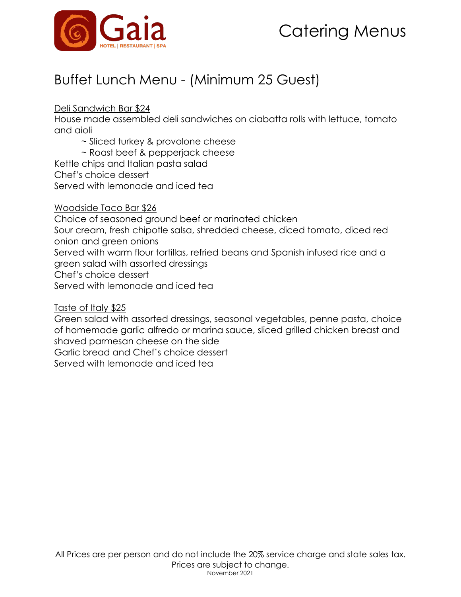



## Buffet Lunch Menu - (Minimum 25 Guest)

Deli Sandwich Bar \$24

House made assembled deli sandwiches on ciabatta rolls with lettuce, tomato and aioli

~ Sliced turkey & provolone cheese

~ Roast beef & pepperjack cheese Kettle chips and Italian pasta salad Chef's choice dessert

Served with lemonade and iced tea

Woodside Taco Bar \$26

Choice of seasoned ground beef or marinated chicken

Sour cream, fresh chipotle salsa, shredded cheese, diced tomato, diced red onion and green onions

Served with warm flour tortillas, refried beans and Spanish infused rice and a green salad with assorted dressings

Chef's choice dessert

Served with lemonade and iced tea

Taste of Italy \$25

Green salad with assorted dressings, seasonal vegetables, penne pasta, choice of homemade garlic alfredo or marina sauce, sliced grilled chicken breast and shaved parmesan cheese on the side

Garlic bread and Chef's choice dessert

Served with lemonade and iced tea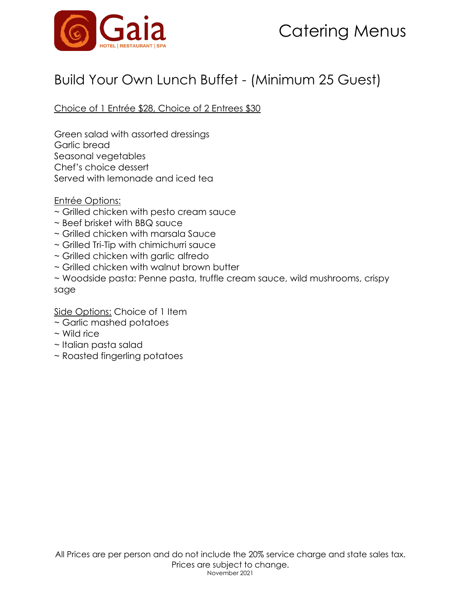

### Build Your Own Lunch Buffet - (Minimum 25 Guest)

Choice of 1 Entrée \$28, Choice of 2 Entrees \$30

Green salad with assorted dressings Garlic bread Seasonal vegetables Chef's choice dessert Served with lemonade and iced tea

Entrée Options:

- ~ Grilled chicken with pesto cream sauce
- ~ Beef brisket with BBQ sauce
- ~ Grilled chicken with marsala Sauce
- ~ Grilled Tri-Tip with chimichurri sauce
- ~ Grilled chicken with garlic alfredo
- ~ Grilled chicken with walnut brown butter

~ Woodside pasta: Penne pasta, truffle cream sauce, wild mushrooms, crispy sage

Side Options: Choice of 1 Item

- ~ Garlic mashed potatoes
- ~ Wild rice
- ~ Italian pasta salad
- ~ Roasted fingerling potatoes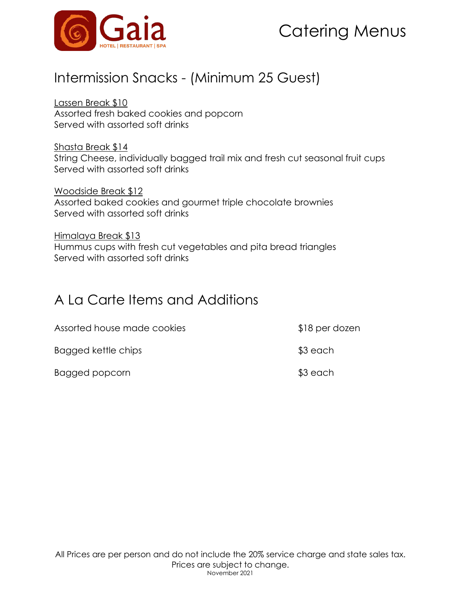

### Intermission Snacks - (Minimum 25 Guest)

Lassen Break \$10 Assorted fresh baked cookies and popcorn Served with assorted soft drinks

Shasta Break \$14 String Cheese, individually bagged trail mix and fresh cut seasonal fruit cups Served with assorted soft drinks

Woodside Break \$12 Assorted baked cookies and gourmet triple chocolate brownies Served with assorted soft drinks

Himalaya Break \$13 Hummus cups with fresh cut vegetables and pita bread triangles Served with assorted soft drinks

### A La Carte Items and Additions

| Assorted house made cookies | \$18 per dozen |
|-----------------------------|----------------|
| Bagged kettle chips         | \$3 each       |
| Bagged popcorn              | $$3$ each      |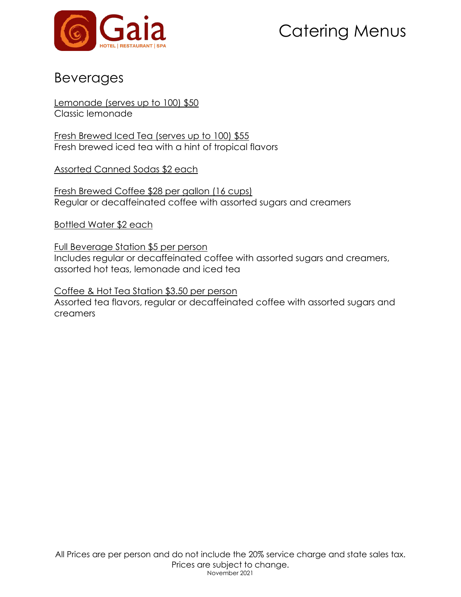

### Beverages

Lemonade (serves up to 100) \$50 Classic lemonade

Fresh Brewed Iced Tea (serves up to 100) \$55 Fresh brewed iced tea with a hint of tropical flavors

Assorted Canned Sodas \$2 each

Fresh Brewed Coffee \$28 per gallon (16 cups) Regular or decaffeinated coffee with assorted sugars and creamers

Bottled Water \$2 each

Full Beverage Station \$5 per person Includes regular or decaffeinated coffee with assorted sugars and creamers, assorted hot teas, lemonade and iced tea

Coffee & Hot Tea Station \$3.50 per person Assorted tea flavors, regular or decaffeinated coffee with assorted sugars and creamers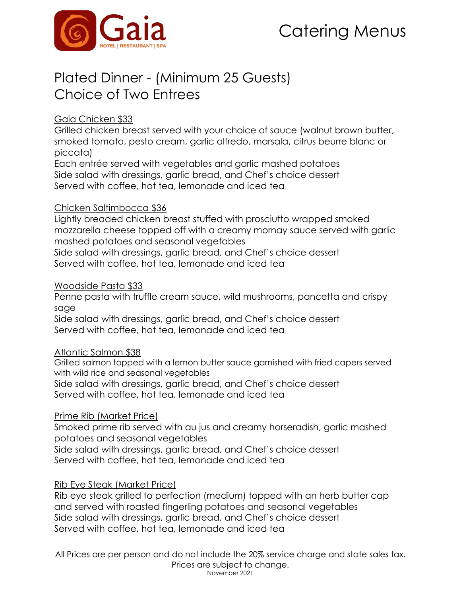

## Plated Dinner - (Minimum 25 Guests) Choice of Two Entrees

#### Gaia Chicken \$33

Grilled chicken breast served with your choice of sauce (walnut brown butter, smoked tomato, pesto cream, garlic alfredo, marsala, citrus beurre blanc or piccata)

Each entrée served with vegetables and garlic mashed potatoes Side salad with dressings, garlic bread, and Chef's choice dessert Served with coffee, hot tea, lemonade and iced tea

#### Chicken Saltimbocca \$36

Lightly breaded chicken breast stuffed with prosciutto wrapped smoked mozzarella cheese topped off with a creamy mornay sauce served with garlic mashed potatoes and seasonal vegetables Side salad with dressings, garlic bread, and Chef's choice dessert Served with coffee, hot tea, lemonade and iced tea

#### Woodside Pasta \$33

Penne pasta with truffle cream sauce, wild mushrooms, pancetta and crispy sage

Side salad with dressings, garlic bread, and Chef's choice dessert Served with coffee, hot tea, lemonade and iced tea

#### Atlantic Salmon \$38

 Grilled salmon topped with a lemon butter sauce garnished with fried capers served with wild rice and seasonal vegetables

Side salad with dressings, garlic bread, and Chef's choice dessert Served with coffee, hot tea, lemonade and iced tea

#### Prime Rib (Market Price)

Smoked prime rib served with au jus and creamy horseradish, garlic mashed potatoes and seasonal vegetables Side salad with dressings, garlic bread, and Chef's choice dessert

Served with coffee, hot tea, lemonade and iced tea

#### Rib Eye Steak (Market Price)

Rib eye steak grilled to perfection (medium) topped with an herb butter cap and served with roasted fingerling potatoes and seasonal vegetables Side salad with dressings, garlic bread, and Chef's choice dessert Served with coffee, hot tea, lemonade and iced tea

 All Prices are per person and do not include the 20% service charge and state sales tax. Prices are subject to change. November 2021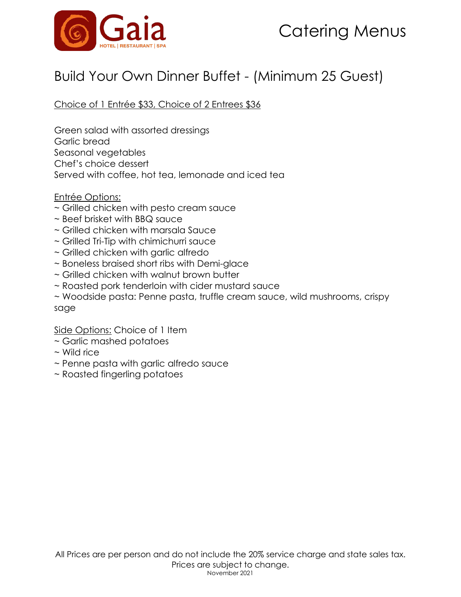

### Build Your Own Dinner Buffet - (Minimum 25 Guest)

Choice of 1 Entrée \$33, Choice of 2 Entrees \$36

Green salad with assorted dressings Garlic bread Seasonal vegetables Chef's choice dessert Served with coffee, hot tea, lemonade and iced tea

#### Entrée Options:

- ~ Grilled chicken with pesto cream sauce
- ~ Beef brisket with BBQ sauce
- ~ Grilled chicken with marsala Sauce
- ~ Grilled Tri-Tip with chimichurri sauce
- ~ Grilled chicken with garlic alfredo
- ~ Boneless braised short ribs with Demi-glace
- ~ Grilled chicken with walnut brown butter
- ~ Roasted pork tenderloin with cider mustard sauce
- ~ Woodside pasta: Penne pasta, truffle cream sauce, wild mushrooms, crispy sage

#### Side Options: Choice of 1 Item

- ~ Garlic mashed potatoes
- ~ Wild rice
- ~ Penne pasta with garlic alfredo sauce
- ~ Roasted fingerling potatoes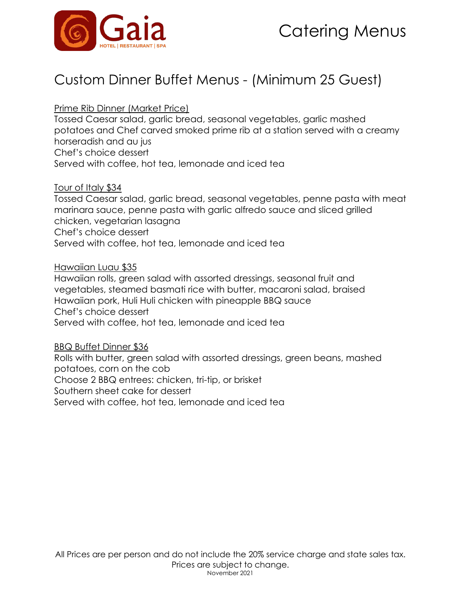

### Custom Dinner Buffet Menus - (Minimum 25 Guest)

Prime Rib Dinner (Market Price)

Tossed Caesar salad, garlic bread, seasonal vegetables, garlic mashed potatoes and Chef carved smoked prime rib at a station served with a creamy horseradish and au jus Chef's choice dessert Served with coffee, hot tea, lemonade and iced tea

Tour of Italy \$34

Tossed Caesar salad, garlic bread, seasonal vegetables, penne pasta with meat marinara sauce, penne pasta with garlic alfredo sauce and sliced grilled chicken, vegetarian lasagna Chef's choice dessert Served with coffee, hot tea, lemonade and iced tea

#### Hawaiian Luau \$35

Hawaiian rolls, green salad with assorted dressings, seasonal fruit and vegetables, steamed basmati rice with butter, macaroni salad, braised Hawaiian pork, Huli Huli chicken with pineapple BBQ sauce Chef's choice dessert Served with coffee, hot tea, lemonade and iced tea

#### BBQ Buffet Dinner \$36

Rolls with butter, green salad with assorted dressings, green beans, mashed potatoes, corn on the cob Choose 2 BBQ entrees: chicken, tri-tip, or brisket Southern sheet cake for dessert Served with coffee, hot tea, lemonade and iced tea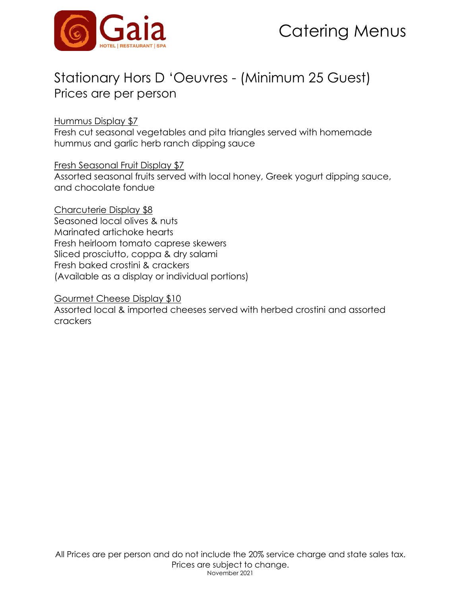

### Stationary Hors D 'Oeuvres - (Minimum 25 Guest) Prices are per person

Hummus Display \$7

Fresh cut seasonal vegetables and pita triangles served with homemade hummus and garlic herb ranch dipping sauce

Fresh Seasonal Fruit Display \$7

Assorted seasonal fruits served with local honey, Greek yogurt dipping sauce, and chocolate fondue

Charcuterie Display \$8 Seasoned local olives & nuts Marinated artichoke hearts Fresh heirloom tomato caprese skewers Sliced prosciutto, coppa & dry salami Fresh baked crostini & crackers (Available as a display or individual portions)

Gourmet Cheese Display \$10

 Assorted local & imported cheeses served with herbed crostini and assorted crackers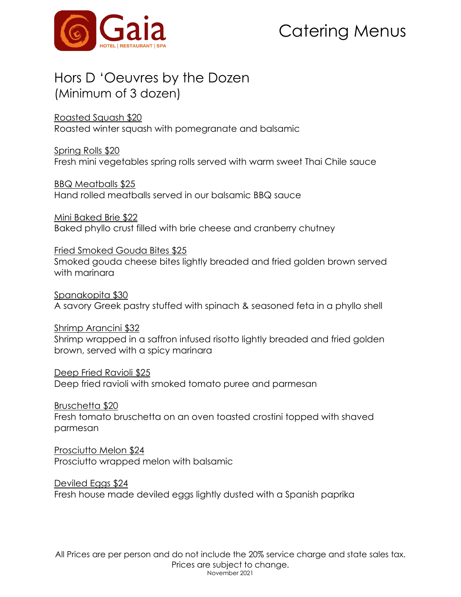

### Hors D 'Oeuvres by the Dozen (Minimum of 3 dozen)

Roasted Squash \$20

Roasted winter squash with pomegranate and balsamic

Spring Rolls \$20 Fresh mini vegetables spring rolls served with warm sweet Thai Chile sauce

BBQ Meatballs \$25 Hand rolled meatballs served in our balsamic BBQ sauce

Mini Baked Brie \$22 Baked phyllo crust filled with brie cheese and cranberry chutney

Fried Smoked Gouda Bites \$25 Smoked gouda cheese bites lightly breaded and fried golden brown served with marinara

Spanakopita \$30 A savory Greek pastry stuffed with spinach & seasoned feta in a phyllo shell

Shrimp Arancini \$32 Shrimp wrapped in a saffron infused risotto lightly breaded and fried golden brown, served with a spicy marinara

Deep Fried Ravioli \$25 Deep fried ravioli with smoked tomato puree and parmesan

Bruschetta \$20 Fresh tomato bruschetta on an oven toasted crostini topped with shaved parmesan

Prosciutto Melon \$24 Prosciutto wrapped melon with balsamic

Deviled Eggs \$24 Fresh house made deviled eggs lightly dusted with a Spanish paprika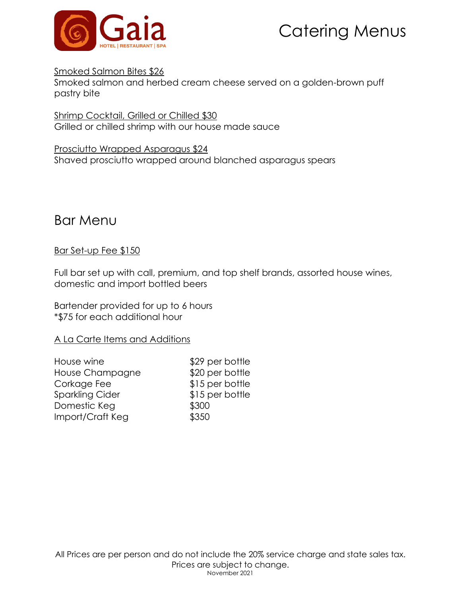

#### Smoked Salmon Bites \$26

Smoked salmon and herbed cream cheese served on a golden-brown puff pastry bite

Shrimp Cocktail, Grilled or Chilled \$30 Grilled or chilled shrimp with our house made sauce

Prosciutto Wrapped Asparagus \$24 Shaved prosciutto wrapped around blanched asparagus spears

### Bar Menu

#### Bar Set-up Fee \$150

Full bar set up with call, premium, and top shelf brands, assorted house wines, domestic and import bottled beers

Bartender provided for up to 6 hours \*\$75 for each additional hour

#### A La Carte Items and Additions

| House wine             | \$29 per bottle |
|------------------------|-----------------|
| House Champagne        | \$20 per bottle |
| Corkage Fee            | \$15 per bottle |
| <b>Sparkling Cider</b> | \$15 per bottle |
| Domestic Keg           | \$300           |
| Import/Craft Keg       | \$350           |